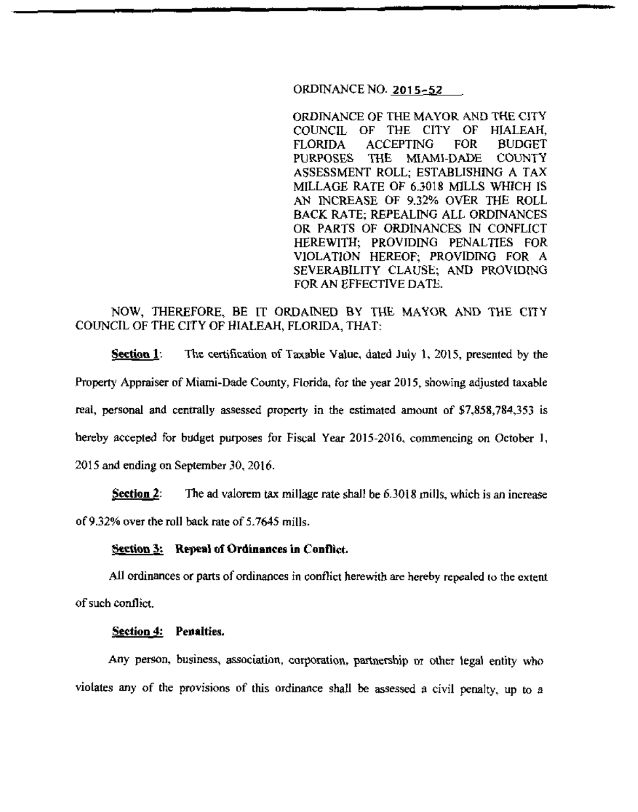## ORDINANCE NO. 2015-52

ORDINANCE OF THE MAYOR AND THE CITY COUNCIL OF THE CITY OF HIALEAH. FLORIDA ACCEPTING FOR BUDGET PURPOSES THE MIAMI-DADE COUNTY ASSESSMENT ROLL; ESTABLISHING A TAX MILLAGE RATE OF 6.3018 MILLS WHICH IS AN INCREASE OF 9.32% OVER THE ROLL BACK RATE; REPEALING ALL ORDINANCES OR PARTS OF ORDINANCES IN CONFLICT HEREWITH; PROVIDING PENALTIES FOR VIOLATION HEREOF; PROVIDING FOR A SEVERABILITY CLAUSE; AND PROVIDING FOR AN EFFECTIVE DATE.

# NOW, THEREFORE, BE IT ORDAINED BY THE MAYOR AND THE CITY COUNCIL OF THE CITY OF HIALEAH, FLORIDA, THAT:

**Section 1:** The certification of Taxable Value, dated July 1, 2015, presented by the Property Appraiser of Miami-Dade County, Florida, for the year 2015, showing adjusted taxable real, personal and centrally assessed property in the estimated amount of \$7,858,784,353 is hereby accepted for budget purposes for Fiscal Year 2015-2016, commencing on October I, 2015 and ending on September 30,20\6.

Section  $2:$  The ad valorem tax millage rate shall be 6.3018 mills, which is an increase of9.32% over the roll back rate of 5.7645 mills.

## **Section 3:** Repeal of Ordinances in Conflict.

All ordinances or parts of ordinances in conflict herewith are hereby repealed to the extent of such conflict.

#### Section **4:** Penalties.

Any person, business, association, corporation, partnership or other legal entity who violates any of the provisions of this ordinance shall be assessed a civil penalty. up to a